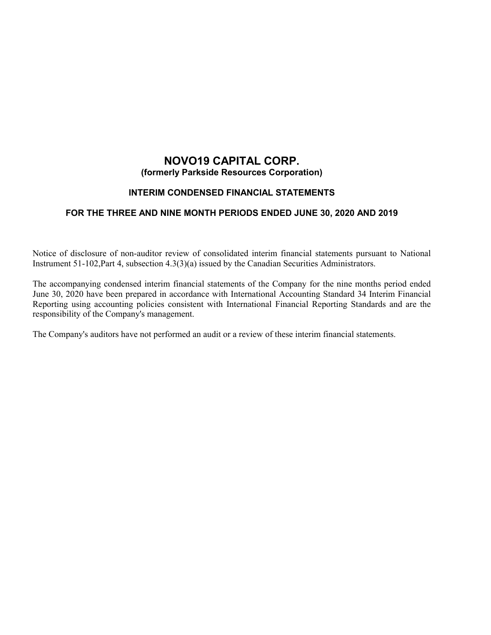# **NOVO19 CAPITAL CORP. (formerly Parkside Resources Corporation)**

# **INTERIM CONDENSED FINANCIAL STATEMENTS**

# **FOR THE THREE AND NINE MONTH PERIODS ENDED JUNE 30, 2020 AND 2019**

Notice of disclosure of non-auditor review of consolidated interim financial statements pursuant to National Instrument 51-102,Part 4, subsection 4.3(3)(a) issued by the Canadian Securities Administrators.

The accompanying condensed interim financial statements of the Company for the nine months period ended June 30, 2020 have been prepared in accordance with International Accounting Standard 34 Interim Financial Reporting using accounting policies consistent with International Financial Reporting Standards and are the responsibility of the Company's management.

The Company's auditors have not performed an audit or a review of these interim financial statements.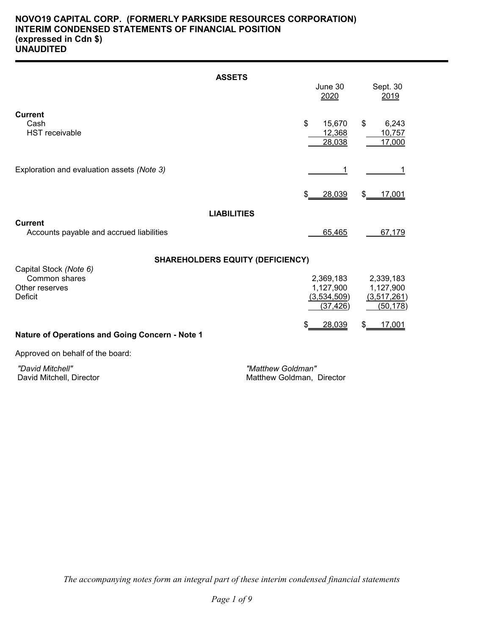| <b>ASSETS</b>                                                     |                                                    |                                                    |
|-------------------------------------------------------------------|----------------------------------------------------|----------------------------------------------------|
|                                                                   | June 30<br>2020                                    | Sept. 30<br>2019                                   |
| <b>Current</b><br>Cash<br><b>HST</b> receivable                   | \$<br>15,670<br>12,368<br>28,038                   | \$<br>6,243<br>10,757<br>17,000                    |
| Exploration and evaluation assets (Note 3)                        | 1                                                  | 1                                                  |
|                                                                   | 28,039<br>S                                        | \$<br>17,001                                       |
| <b>LIABILITIES</b>                                                |                                                    |                                                    |
| <b>Current</b><br>Accounts payable and accrued liabilities        | 65,465                                             | 67,179                                             |
| <b>SHAREHOLDERS EQUITY (DEFICIENCY)</b><br>Capital Stock (Note 6) |                                                    |                                                    |
| Common shares<br>Other reserves<br>Deficit                        | 2,369,183<br>1,127,900<br>(3,534,509)<br>(37, 426) | 2,339,183<br>1,127,900<br>(3,517,261)<br>(50, 178) |
| Nature of Operations and Going Concern - Note 1                   | \$<br>28,039                                       | \$<br>17,001                                       |
| Approved on behalf of the board:                                  |                                                    |                                                    |

 *"David Mitchell" "Matthew Goldman"*

David Mitchell, Director **Matthew Goldman, Director** Matthew Goldman, Director

*The accompanying notes form an integral part of these interim condensed financial statements*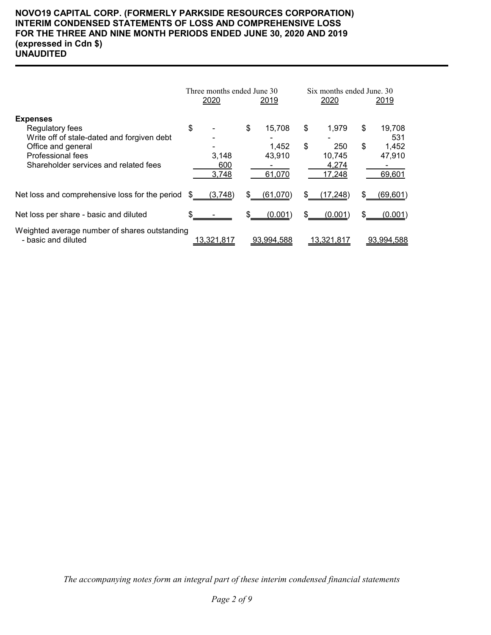# **NOVO19 CAPITAL CORP. (FORMERLY PARKSIDE RESOURCES CORPORATION) INTERIM CONDENSED STATEMENTS OF LOSS AND COMPREHENSIVE LOSS FOR THE THREE AND NINE MONTH PERIODS ENDED JUNE 30, 2020 AND 2019 (expressed in Cdn \$) UNAUDITED**

|                                                                                                                                                                             | 2020                        | Three months ended June 30<br>2019 |                                     | Six months ended June, 30<br>2020 |                                           | 2019     |                                            |
|-----------------------------------------------------------------------------------------------------------------------------------------------------------------------------|-----------------------------|------------------------------------|-------------------------------------|-----------------------------------|-------------------------------------------|----------|--------------------------------------------|
| <b>Expenses</b><br>Regulatory fees<br>Write off of stale-dated and forgiven debt<br>Office and general<br><b>Professional fees</b><br>Shareholder services and related fees | \$<br>3,148<br>600<br>3,748 | \$                                 | 15.708<br>1.452<br>43.910<br>61,070 | S<br>\$                           | 1,979<br>250<br>10,745<br>4,274<br>17,248 | \$<br>\$ | 19,708<br>531<br>1,452<br>47,910<br>69,601 |
| Net loss and comprehensive loss for the period                                                                                                                              | (3,748)                     | \$                                 | (61,070)                            | \$.                               | (17,248)                                  | \$       | (69, 601)                                  |
| Net loss per share - basic and diluted                                                                                                                                      |                             |                                    | (0.001)                             |                                   | (0.001)                                   | \$       | (0.001)                                    |
| Weighted average number of shares outstanding<br>- basic and diluted                                                                                                        | 13,321,817                  |                                    | 93,994,588                          |                                   | 13,321,817                                |          | 93,994,588                                 |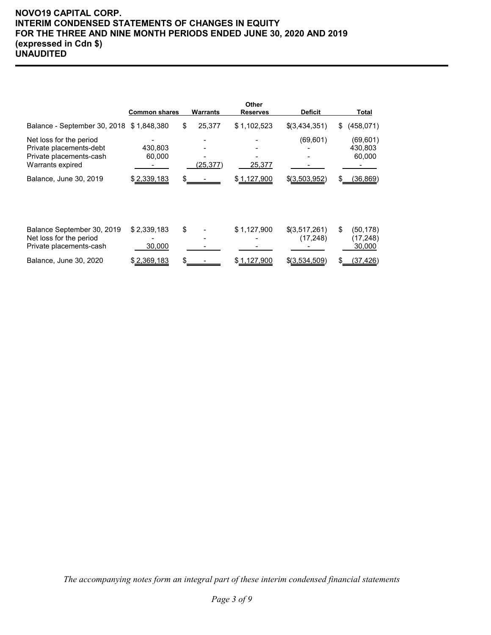# **NOVO19 CAPITAL CORP. INTERIM CONDENSED STATEMENTS OF CHANGES IN EQUITY FOR THE THREE AND NINE MONTH PERIODS ENDED JUNE 30, 2020 AND 2019 (expressed in Cdn \$) UNAUDITED**

|                                                                                                   | <b>Common shares</b> | Warrants     | Other<br><b>Reserves</b> | <b>Deficit</b>            | <b>Total</b>                   |
|---------------------------------------------------------------------------------------------------|----------------------|--------------|--------------------------|---------------------------|--------------------------------|
| Balance - September 30, 2018 \$1,848,380                                                          |                      | \$<br>25,377 | \$1,102,523              | \$(3,434,351)             | \$<br>(458,071)                |
| Net loss for the period<br>Private placements-debt<br>Private placements-cash<br>Warrants expired | 430,803<br>60,000    | (25,377)     | 25,377                   | (69, 601)                 | (69, 601)<br>430.803<br>60,000 |
| Balance, June 30, 2019                                                                            | \$2,339,183          |              | \$1,127,900              | \$(3,503,952)             | \$<br>(36, 869)                |
| Balance September 30, 2019<br>Net loss for the period                                             | \$2,339,183          | \$           | \$1,127,900              | \$(3,517,261)<br>(17,248) | \$<br>(50,178)<br>(17,248)     |

Private placements-cash 30,000 - - - 30,000 Balance, June 30, 2020  $$2.369,183$   $$1.127,900$   $$(3.534,509)$   $$ (37,426)$ 

*The accompanying notes form an integral part of these interim condensed financial statements*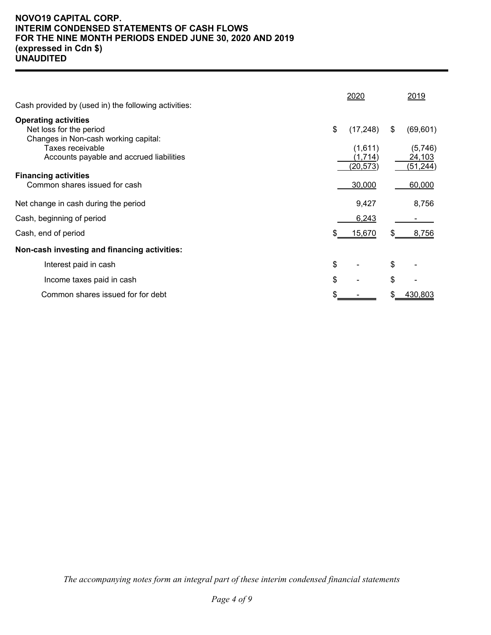# **NOVO19 CAPITAL CORP. INTERIM CONDENSED STATEMENTS OF CASH FLOWS FOR THE NINE MONTH PERIODS ENDED JUNE 30, 2020 AND 2019 (expressed in Cdn \$) UNAUDITED**

|                                                                                                                                                                |    | 2020                            | 2019                                 |
|----------------------------------------------------------------------------------------------------------------------------------------------------------------|----|---------------------------------|--------------------------------------|
| Cash provided by (used in) the following activities:                                                                                                           |    |                                 |                                      |
| <b>Operating activities</b><br>Net loss for the period<br>Changes in Non-cash working capital:<br>Taxes receivable<br>Accounts payable and accrued liabilities | \$ | (17, 248)<br>(1,611)<br>(1,714) | \$<br>(69, 601)<br>(5,746)<br>24,103 |
| <b>Financing activities</b><br>Common shares issued for cash                                                                                                   |    | <u>(20,573)</u><br>30,000       | (51, 244)<br>60,000                  |
| Net change in cash during the period                                                                                                                           |    | 9,427                           | 8,756                                |
| Cash, beginning of period                                                                                                                                      |    | 6,243                           |                                      |
| Cash, end of period                                                                                                                                            | S  | 15,670                          | <u>8,756</u>                         |
| Non-cash investing and financing activities:                                                                                                                   |    |                                 |                                      |
| Interest paid in cash                                                                                                                                          | \$ |                                 | \$                                   |
| Income taxes paid in cash                                                                                                                                      | \$ |                                 | \$                                   |
| Common shares issued for for debt                                                                                                                              |    |                                 | 430,803                              |

*The accompanying notes form an integral part of these interim condensed financial statements*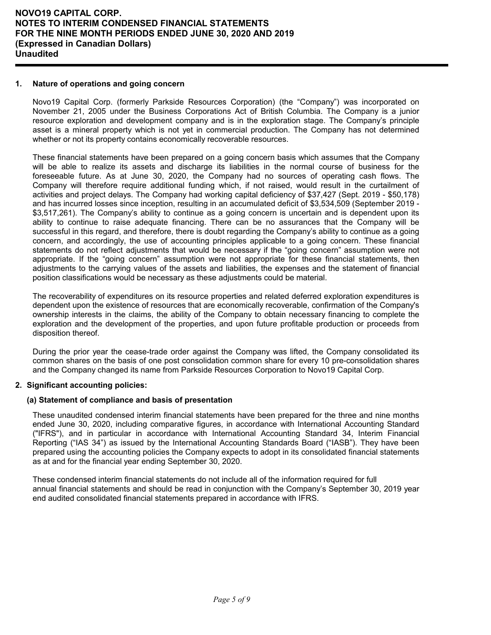### **1. Nature of operations and going concern**

Novo19 Capital Corp. (formerly Parkside Resources Corporation) (the "Company") was incorporated on November 21, 2005 under the Business Corporations Act of British Columbia. The Company is a junior resource exploration and development company and is in the exploration stage. The Company's principle asset is a mineral property which is not yet in commercial production. The Company has not determined whether or not its property contains economically recoverable resources.

These financial statements have been prepared on a going concern basis which assumes that the Company will be able to realize its assets and discharge its liabilities in the normal course of business for the foreseeable future. As at June 30, 2020, the Company had no sources of operating cash flows. The Company will therefore require additional funding which, if not raised, would result in the curtailment of activities and project delays. The Company had working capital deficiency of \$37,427 (Sept. 2019 - \$50,178) and has incurred losses since inception, resulting in an accumulated deficit of \$3,534,509 (September 2019 - \$3,517,261). The Company's ability to continue as a going concern is uncertain and is dependent upon its ability to continue to raise adequate financing. There can be no assurances that the Company will be successful in this regard, and therefore, there is doubt regarding the Company's ability to continue as a going concern, and accordingly, the use of accounting principles applicable to a going concern. These financial statements do not reflect adjustments that would be necessary if the "going concern" assumption were not appropriate. If the "going concern" assumption were not appropriate for these financial statements, then adjustments to the carrying values of the assets and liabilities, the expenses and the statement of financial position classifications would be necessary as these adjustments could be material.

The recoverability of expenditures on its resource properties and related deferred exploration expenditures is dependent upon the existence of resources that are economically recoverable, confirmation of the Company's ownership interests in the claims, the ability of the Company to obtain necessary financing to complete the exploration and the development of the properties, and upon future profitable production or proceeds from disposition thereof.

During the prior year the cease-trade order against the Company was lifted, the Company consolidated its common shares on the basis of one post consolidation common share for every 10 pre-consolidation shares and the Company changed its name from Parkside Resources Corporation to Novo19 Capital Corp.

### **2. Significant accounting policies:**

### **(a) Statement of compliance and basis of presentation**

These unaudited condensed interim financial statements have been prepared for the three and nine months ended June 30, 2020, including comparative figures, in accordance with International Accounting Standard ("IFRS"), and in particular in accordance with International Accounting Standard 34, Interim Financial Reporting ("IAS 34") as issued by the International Accounting Standards Board ("IASB"). They have been prepared using the accounting policies the Company expects to adopt in its consolidated financial statements as at and for the financial year ending September 30, 2020.

These condensed interim financial statements do not include all of the information required for full annual financial statements and should be read in conjunction with the Company's September 30, 2019 year end audited consolidated financial statements prepared in accordance with IFRS.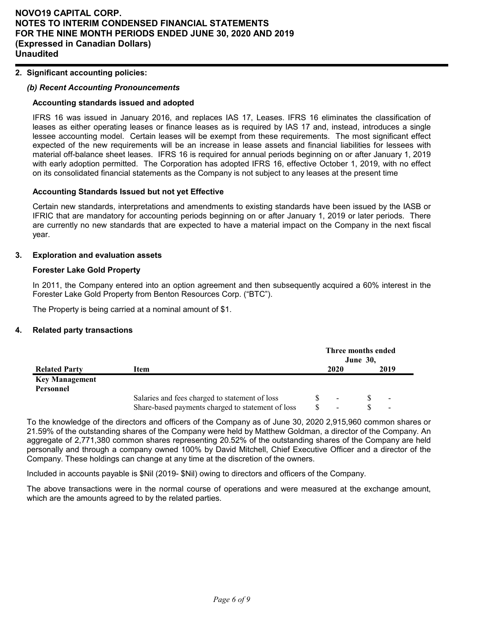### **2. Significant accounting policies:**

# *(b) Recent Accounting Pronouncements*

## **Accounting standards issued and adopted**

IFRS 16 was issued in January 2016, and replaces IAS 17, Leases. IFRS 16 eliminates the classification of leases as either operating leases or finance leases as is required by IAS 17 and, instead, introduces a single lessee accounting model. Certain leases will be exempt from these requirements. The most significant effect expected of the new requirements will be an increase in lease assets and financial liabilities for lessees with material off-balance sheet leases. IFRS 16 is required for annual periods beginning on or after January 1, 2019 with early adoption permitted. The Corporation has adopted IFRS 16, effective October 1, 2019, with no effect on its consolidated financial statements as the Company is not subject to any leases at the present time

# **Accounting Standards Issued but not yet Effective**

Certain new standards, interpretations and amendments to existing standards have been issued by the IASB or IFRIC that are mandatory for accounting periods beginning on or after January 1, 2019 or later periods. There are currently no new standards that are expected to have a material impact on the Company in the next fiscal year.

# **3. Exploration and evaluation assets**

# **Forester Lake Gold Property**

In 2011, the Company entered into an option agreement and then subsequently acquired a 60% interest in the Forester Lake Gold Property from Benton Resources Corp. ("BTC").

The Property is being carried at a nominal amount of \$1.

# **4. Related party transactions**

|                       |                                                   |  | Three months ended<br><b>June 30,</b> |  |                          |
|-----------------------|---------------------------------------------------|--|---------------------------------------|--|--------------------------|
| <b>Related Party</b>  | Item                                              |  | 2020                                  |  | 2019                     |
| <b>Key Management</b> |                                                   |  |                                       |  |                          |
| Personnel             |                                                   |  |                                       |  |                          |
|                       | Salaries and fees charged to statement of loss    |  | $\overline{\phantom{a}}$              |  | $\overline{\phantom{a}}$ |
|                       | Share-based payments charged to statement of loss |  | -                                     |  | $\overline{\phantom{a}}$ |

To the knowledge of the directors and officers of the Company as of June 30, 2020 2,915,960 common shares or 21.59% of the outstanding shares of the Company were held by Matthew Goldman, a director of the Company. An aggregate of 2,771,380 common shares representing 20.52% of the outstanding shares of the Company are held personally and through a company owned 100% by David Mitchell, Chief Executive Officer and a director of the Company. These holdings can change at any time at the discretion of the owners.

Included in accounts payable is \$Nil (2019- \$Nil) owing to directors and officers of the Company.

The above transactions were in the normal course of operations and were measured at the exchange amount, which are the amounts agreed to by the related parties.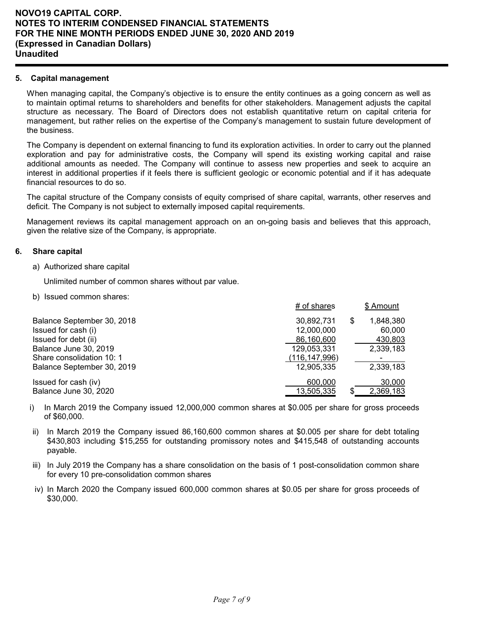# **NOVO19 CAPITAL CORP. NOTES TO INTERIM CONDENSED FINANCIAL STATEMENTS FOR THE NINE MONTH PERIODS ENDED JUNE 30, 2020 AND 2019 (Expressed in Canadian Dollars) Unaudited**

## **5. Capital management**

When managing capital, the Company's objective is to ensure the entity continues as a going concern as well as to maintain optimal returns to shareholders and benefits for other stakeholders. Management adjusts the capital structure as necessary. The Board of Directors does not establish quantitative return on capital criteria for management, but rather relies on the expertise of the Company's management to sustain future development of the business.

The Company is dependent on external financing to fund its exploration activities. In order to carry out the planned exploration and pay for administrative costs, the Company will spend its existing working capital and raise additional amounts as needed. The Company will continue to assess new properties and seek to acquire an interest in additional properties if it feels there is sufficient geologic or economic potential and if it has adequate financial resources to do so.

The capital structure of the Company consists of equity comprised of share capital, warrants, other reserves and deficit. The Company is not subject to externally imposed capital requirements.

Management reviews its capital management approach on an on-going basis and believes that this approach, given the relative size of the Company, is appropriate.

#### **6. Share capital**

a) Authorized share capital

Unlimited number of common shares without par value.

b) Issued common shares:

|                            | # of shares   | \$ Amount       |
|----------------------------|---------------|-----------------|
| Balance September 30, 2018 | 30,892,731    | \$<br>1,848,380 |
| Issued for cash (i)        | 12,000,000    | 60,000          |
| Issued for debt (ii)       | 86,160,600    | 430,803         |
| Balance June 30, 2019      | 129,053,331   | 2,339,183       |
| Share consolidation 10: 1  | (116,147,996) |                 |
| Balance September 30, 2019 | 12.905.335    | 2,339,183       |
| Issued for cash (iv)       | 600,000       | 30,000          |
| Balance June 30, 2020      | 13,505,335    | 2,369,183       |

- i) In March 2019 the Company issued 12,000,000 common shares at \$0.005 per share for gross proceeds of \$60,000.
- ii) In March 2019 the Company issued 86,160,600 common shares at \$0.005 per share for debt totaling \$430,803 including \$15,255 for outstanding promissory notes and \$415,548 of outstanding accounts payable.
- iii) In July 2019 the Company has a share consolidation on the basis of 1 post-consolidation common share for every 10 pre-consolidation common shares
- iv) In March 2020 the Company issued 600,000 common shares at \$0.05 per share for gross proceeds of \$30,000.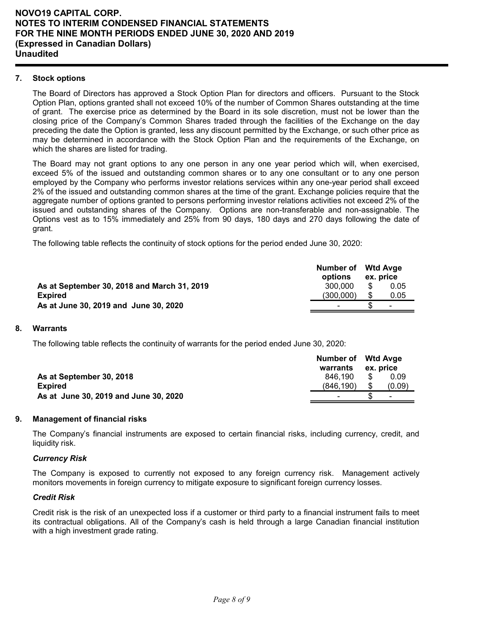# **NOVO19 CAPITAL CORP. NOTES TO INTERIM CONDENSED FINANCIAL STATEMENTS FOR THE NINE MONTH PERIODS ENDED JUNE 30, 2020 AND 2019 (Expressed in Canadian Dollars) Unaudited**

### **7. Stock options**

The Board of Directors has approved a Stock Option Plan for directors and officers. Pursuant to the Stock Option Plan, options granted shall not exceed 10% of the number of Common Shares outstanding at the time of grant. The exercise price as determined by the Board in its sole discretion, must not be lower than the closing price of the Company's Common Shares traded through the facilities of the Exchange on the day preceding the date the Option is granted, less any discount permitted by the Exchange, or such other price as may be determined in accordance with the Stock Option Plan and the requirements of the Exchange, on which the shares are listed for trading.

The Board may not grant options to any one person in any one year period which will, when exercised, exceed 5% of the issued and outstanding common shares or to any one consultant or to any one person employed by the Company who performs investor relations services within any one-year period shall exceed 2% of the issued and outstanding common shares at the time of the grant. Exchange policies require that the aggregate number of options granted to persons performing investor relations activities not exceed 2% of the issued and outstanding shares of the Company. Options are non-transferable and non-assignable. The Options vest as to 15% immediately and 25% from 90 days, 180 days and 270 days following the date of grant.

The following table reflects the continuity of stock options for the period ended June 30, 2020:

|                                             | Number of Wtd Avge<br>options | ex. price |        |
|---------------------------------------------|-------------------------------|-----------|--------|
| As at September 30, 2018 and March 31, 2019 | 300.000                       | \$.       | 0.05   |
| <b>Expired</b>                              | (300.000)                     | \$        | 0.05   |
| As at June 30, 2019 and June 30, 2020       | ۰                             |           | $\sim$ |

#### **8. Warrants**

The following table reflects the continuity of warrants for the period ended June 30, 2020:

|                                       | Number of Wtd Avge<br>warrants | ex. price |  |  |
|---------------------------------------|--------------------------------|-----------|--|--|
| As at September 30, 2018              | 846.190                        | 0.09      |  |  |
| <b>Expired</b>                        | (846.190)                      | (0.09)    |  |  |
| As at June 30, 2019 and June 30, 2020 |                                | ٠         |  |  |

#### **9. Management of financial risks**

The Company's financial instruments are exposed to certain financial risks, including currency, credit, and liquidity risk.

#### *Currency Risk*

The Company is exposed to currently not exposed to any foreign currency risk. Management actively monitors movements in foreign currency to mitigate exposure to significant foreign currency losses.

#### *Credit Risk*

Credit risk is the risk of an unexpected loss if a customer or third party to a financial instrument fails to meet its contractual obligations. All of the Company's cash is held through a large Canadian financial institution with a high investment grade rating.